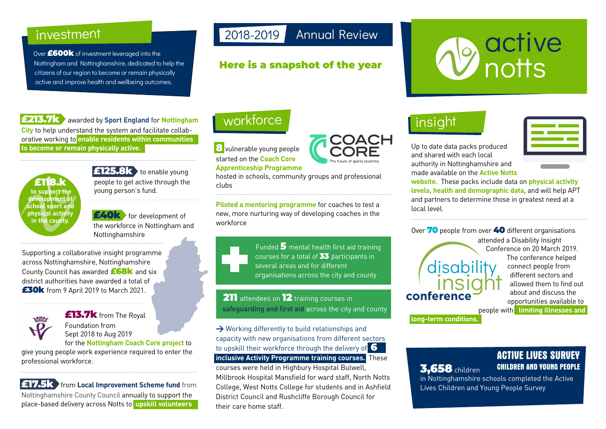### investment

Over **£600k** of investment leveraged into the Nottingham and Nottinghamshire, dedicated to help the citizens of our region to become or remain physically active and improve health and wellbeing outcomes.

#### **£213.7k** awarded by **Sport England** for **Nottingham**

**City** to help understand the system and facilitate collaborative working to **enable residents within communities to become or remain physically active.**



**£125.8k** to enable young people to get active through the young person's fund.

**£40k** for development of the workforce in Nottingham and Nottinghamshire

Supporting a collaborative insight programme across Nottinghamshire, Nottinghamshire County Council has awarded **£68k** and six district authorities have awarded a total of **£30k** from 9 April 2019 to March 2021.



**£13.7k** from The Royal Foundation from Sept 2018 to Aug 2019

for the **Nottingham Coach Core project** to give young people work experience required to enter the professional workforce.

**£17.5k** from **Local Improvement Scheme fund** from Nottinghamshire County Council annually to support the place-based delivery across Notts to **upskill volunteers**

# 2018-2019 Annual Review

#### **Here is a snapshot of the year**

# **D** active

# insight

Up to date data packs produced and shared with each local authority in Nottinghamshire and made available on the **Active Notts** 



**website.** These packs include data on **physical activity levels, health and demographic data**, and will help APT and partners to determine those in greatest need at a local level.

Over **70** people from over **40** different organisations attended a Disability Insight Conference on 20 March 2019. The conference helped connect people from different sectors and allowed them to find out about and discuss the opportunities available to people with **limiting illnesses and long-term conditions.** disability insight **conference**

#### **ACTIVE LIVES SURVEY 3 CHILDREN AND YOUNG PEOPLE ,658**children

in Nottinghamshire schools completed the Active Lives Children and Young People Survey

# workforce

**8** vulnerable young people started on the **Coach Core Apprenticeship Programme** 

hosted in schools, community groups and professional clubs

**Piloted a mentoring programme** for coaches to test a new, more nurturing way of developing coaches in the workforce

Funded **5** mental health first aid training

courses for a total of **33** participants in several areas and for different organisations across the city and county

**211** attendees on **12** training courses in **safeguarding and first aid** across the city and county

**>** Working differently to build relationships and capacity with new organisations from different sectors to upskill their workforce through the delivery of **6 inclusive Activity Programme training courses.** These courses were held in Highbury Hospital Bulwell, Millbrook Hospital Mansfield for ward staff, North Notts College, West Notts College for students and in Ashfield District Council and Rushcliffe Borough Council for their care home staff.